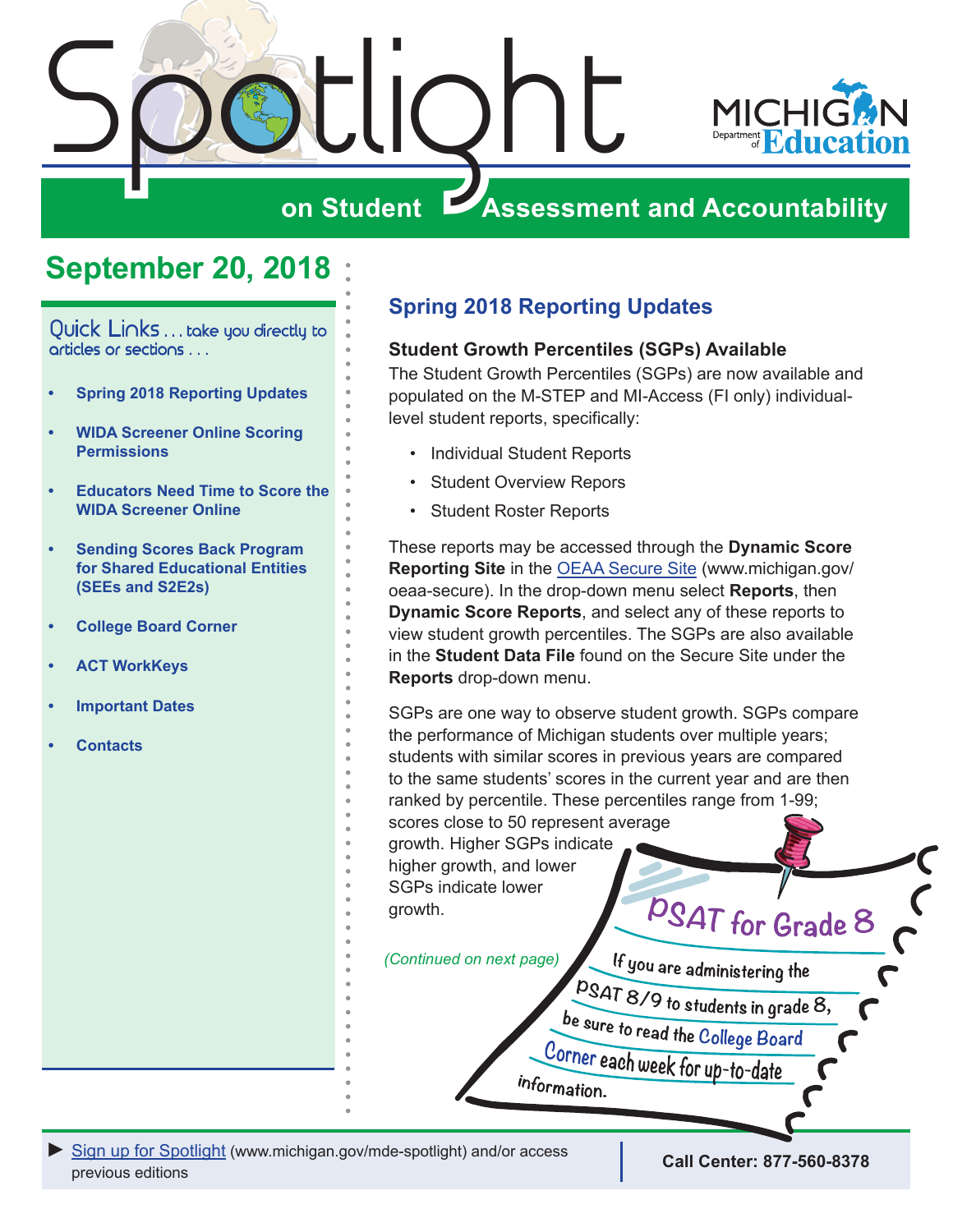<span id="page-0-0"></span>

# **September 20, 2018**

Quick Links . . . take you directly to articles or sections . . .

- **• Spring 2018 Reporting Updates**
- **• [WIDA Screener Online Scoring](#page-1-0)  [Permissions](#page-1-0)**
- **• [Educators Need Time to Score the](#page-2-0)  [WIDA Screener Online](#page-2-0)**
- **• [Sending Scores Back Program](#page-2-0)  [for Shared Educational Entities](#page-2-0)  [\(SEEs and S2E2s\)](#page-2-0)**
- **• [College Board Corner](#page-3-0)**
- **• [ACT WorkKeys](#page-5-0)**
- **• [Important Dates](#page-6-0)**
- **• [Contacts](#page-7-0)**

# **Spring 2018 Reporting Updates**

#### **Student Growth Percentiles (SGPs) Available**

The Student Growth Percentiles (SGPs) are now available and populated on the M-STEP and MI-Access (FI only) individuallevel student reports, specifically:

- Individual Student Reports
- Student Overview Repors
- Student Roster Reports

These reports may be accessed through the **Dynamic Score Reporting Site** in the [OEAA Secure Site](http://www.michigan.gov/oeaa-secure) (www.michigan.gov/ oeaa-secure). In the drop-down menu select **Reports**, then **Dynamic Score Reports**, and select any of these reports to view student growth percentiles. The SGPs are also available in the **Student Data File** found on the Secure Site under the **Reports** drop-down menu.

SGPs are one way to observe student growth. SGPs compare the performance of Michigan students over multiple years; students with similar scores in previous years are compared to the same students' scores in the current year and are then ranked by percentile. These percentiles range from 1-99; scores close to 50 represent average growth. Higher SGPs indicate higher growth, and lower SGPs indicate lower growth.

*(Continued on next page)*



If you are administering the

PSAT 8/9 to students in grade 8,

be sure to read the College Board

Corner each week for up-to-date

information.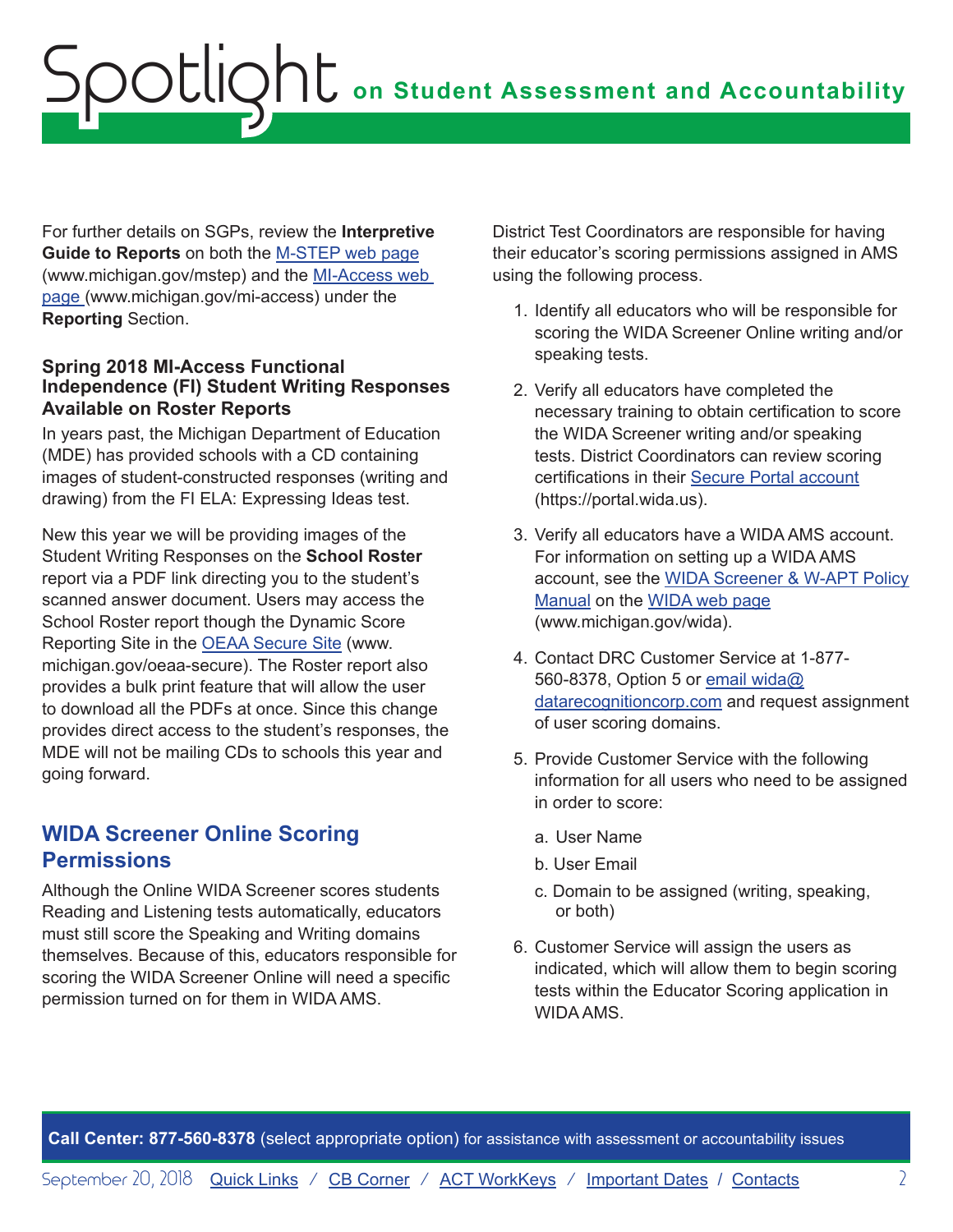# <span id="page-1-0"></span>**on Student Assessment and Accountability** Spotlight

For further details on SGPs, review the **Interpretive Guide to Reports** on both the [M-STEP web page](www.michigan.gov/mstep) (www.michigan.gov/mstep) and the [MI-Access web](http://www.michigan.gov/mi-access)  [page \(](http://www.michigan.gov/mi-access)www.michigan.gov/mi-access) under the **Reporting** Section.

#### **Spring 2018 MI-Access Functional Independence (FI) Student Writing Responses Available on Roster Reports**

In years past, the Michigan Department of Education (MDE) has provided schools with a CD containing images of student-constructed responses (writing and drawing) from the FI ELA: Expressing Ideas test.

New this year we will be providing images of the Student Writing Responses on the **School Roster**  report via a PDF link directing you to the student's scanned answer document. Users may access the School Roster report though the Dynamic Score Reporting Site in the [OEAA Secure Site](http://www.michigan.gov/oeaa-secure) (www. michigan.gov/oeaa-secure). The Roster report also provides a bulk print feature that will allow the user to download all the PDFs at once. Since this change provides direct access to the student's responses, the MDE will not be mailing CDs to schools this year and going forward.

# **WIDA Screener Online Scoring Permissions**

Although the Online WIDA Screener scores students Reading and Listening tests automatically, educators must still score the Speaking and Writing domains themselves. Because of this, educators responsible for scoring the WIDA Screener Online will need a specific permission turned on for them in WIDA AMS.

District Test Coordinators are responsible for having their educator's scoring permissions assigned in AMS using the following process.

- 1. Identify all educators who will be responsible for scoring the WIDA Screener Online writing and/or speaking tests.
- 2. Verify all educators have completed the necessary training to obtain certification to score the WIDA Screener writing and/or speaking tests. District Coordinators can review scoring certifications in their [Secure Portal account](https://portal.wida.us) (https://portal.wida.us).
- 3. Verify all educators have a WIDA AMS account. For information on setting up a WIDA AMS account, see the [WIDA Screener & W-APT Policy](https://www.michigan.gov/documents/mde/WIDA_Screener_and_W-APT_Michigan_Policy_Manual_635005_7.pdf) [Manual](https://www.michigan.gov/documents/mde/WIDA_Screener_and_W-APT_Michigan_Policy_Manual_635005_7.pdf) on the [WIDA web page](www.michigan.gov/wida) (www.michigan.gov/wida).
- 4. Contact DRC Customer Service at 1-877- 560-8378, Option 5 or [email wida@](mailto:email%20wida%40datarecognitioncorp.com?subject=) [datarecognitioncorp.com](mailto:email%20wida%40datarecognitioncorp.com?subject=) and request assignment of user scoring domains.
- 5. Provide Customer Service with the following information for all users who need to be assigned in order to score:
	- a. User Name
	- b. User Email
	- c. Domain to be assigned (writing, speaking, or both)
- 6. Customer Service will assign the users as indicated, which will allow them to begin scoring tests within the Educator Scoring application in WIDA AMS.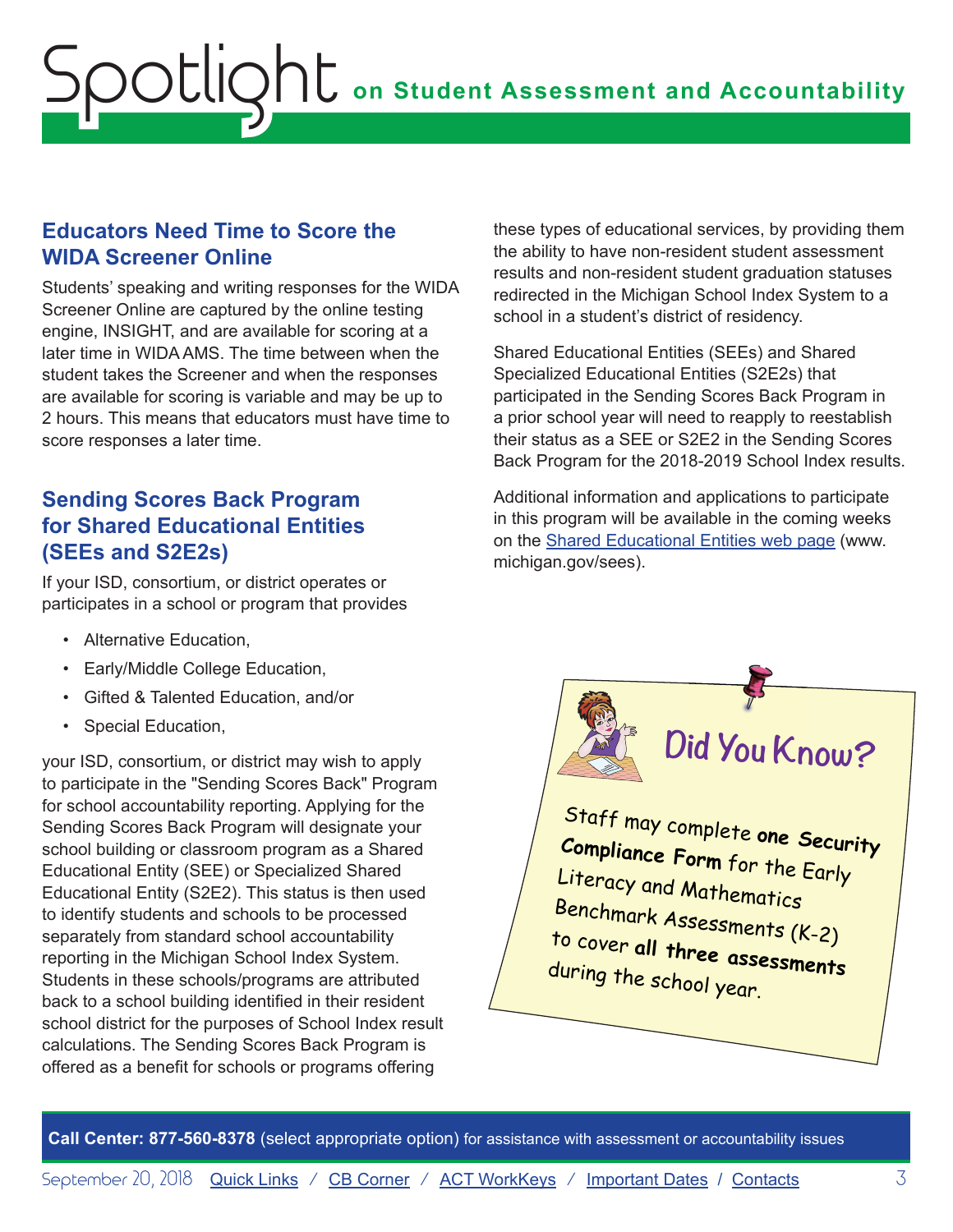# <span id="page-2-0"></span>**on Student Assessment and Accountability** Spotlight

### **Educators Need Time to Score the WIDA Screener Online**

Students' speaking and writing responses for the WIDA Screener Online are captured by the online testing engine, INSIGHT, and are available for scoring at a later time in WIDA AMS. The time between when the student takes the Screener and when the responses are available for scoring is variable and may be up to 2 hours. This means that educators must have time to score responses a later time.

# **Sending Scores Back Program for Shared Educational Entities (SEEs and S2E2s)**

If your ISD, consortium, or district operates or participates in a school or program that provides

- Alternative Education,
- Early/Middle College Education,
- Gifted & Talented Education, and/or
- Special Education,

your ISD, consortium, or district may wish to apply to participate in the "Sending Scores Back" Program for school accountability reporting. Applying for the Sending Scores Back Program will designate your school building or classroom program as a Shared Educational Entity (SEE) or Specialized Shared Educational Entity (S2E2). This status is then used to identify students and schools to be processed separately from standard school accountability reporting in the Michigan School Index System. Students in these schools/programs are attributed back to a school building identified in their resident school district for the purposes of School Index result calculations. The Sending Scores Back Program is offered as a benefit for schools or programs offering

these types of educational services, by providing them the ability to have non-resident student assessment results and non-resident student graduation statuses redirected in the Michigan School Index System to a school in a student's district of residency.

Shared Educational Entities (SEEs) and Shared Specialized Educational Entities (S2E2s) that participated in the Sending Scores Back Program in a prior school year will need to reapply to reestablish their status as a SEE or S2E2 in the Sending Scores Back Program for the 2018-2019 School Index results.

Additional information and applications to participate in this program will be available in the coming weeks on the [Shared Educational Entities web page](http://www.michigan.gov/sees) (www. michigan.gov/sees).

 $\frac{1}{2}$ 

for the Early Literacy and  $\mathcal{L}_{\text{max}}$ Assessments (K-2) to cover all three assessments Staff may complete **one Security Compliance Form** for the Early<br>Literacy and **M** Literacy and Mathematics Benchmark Assessments (K-2) to cover **all three assessments** during the school year.

**Did You Know?**

 $\left\vert \left\langle \left\langle \left\langle \mathcal{L}\right\rangle \right\rangle \right\rangle \right\vert$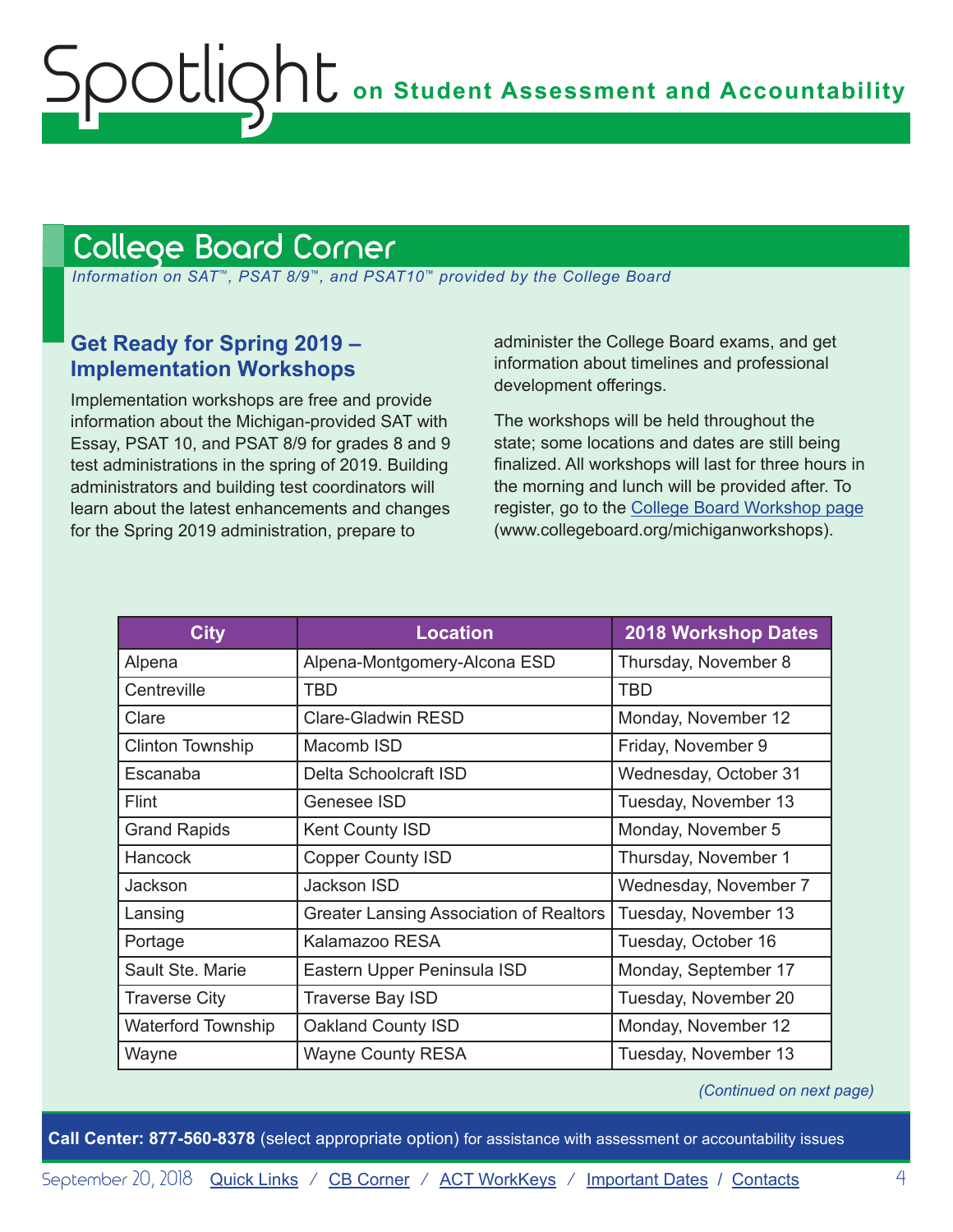# <span id="page-3-1"></span><span id="page-3-0"></span>College Board Corner

 *Information on SAT*™*, PSAT 8/9*™*, and PSAT10*™ *provided by the College Board*

## **Get Ready for Spring 2019 – Implementation Workshops**

Implementation workshops are free and provide information about the Michigan-provided SAT with Essay, PSAT 10, and PSAT 8/9 for grades 8 and 9 test administrations in the spring of 2019. Building administrators and building test coordinators will learn about the latest enhancements and changes for the Spring 2019 administration, prepare to

administer the College Board exams, and get information about timelines and professional development offerings.

The workshops will be held throughout the state; some locations and dates are still being finalized. All workshops will last for three hours in the morning and lunch will be provided after. To register, go to the [College Board Workshop page](http://www.collegeboard.org/michiganworkshops) (www.collegeboard.org/michiganworkshops).

| <b>City</b>               | <b>Location</b>                                | <b>2018 Workshop Dates</b> |
|---------------------------|------------------------------------------------|----------------------------|
| Alpena                    | Alpena-Montgomery-Alcona ESD                   | Thursday, November 8       |
| Centreville               | <b>TBD</b>                                     | <b>TBD</b>                 |
| Clare                     | <b>Clare-Gladwin RESD</b>                      | Monday, November 12        |
| <b>Clinton Township</b>   | Macomb ISD                                     | Friday, November 9         |
| Escanaba                  | Delta Schoolcraft ISD                          | Wednesday, October 31      |
| <b>Flint</b>              | Genesee ISD                                    | Tuesday, November 13       |
| <b>Grand Rapids</b>       | Kent County ISD                                | Monday, November 5         |
| <b>Hancock</b>            | <b>Copper County ISD</b>                       | Thursday, November 1       |
| Jackson                   | Jackson ISD                                    | Wednesday, November 7      |
| Lansing                   | <b>Greater Lansing Association of Realtors</b> | Tuesday, November 13       |
| Portage                   | Kalamazoo RESA                                 | Tuesday, October 16        |
| Sault Ste. Marie          | Eastern Upper Peninsula ISD                    | Monday, September 17       |
| <b>Traverse City</b>      | <b>Traverse Bay ISD</b>                        | Tuesday, November 20       |
| <b>Waterford Township</b> | Oakland County ISD                             | Monday, November 12        |
| Wayne                     | <b>Wayne County RESA</b>                       | Tuesday, November 13       |

*(Continued on next page)*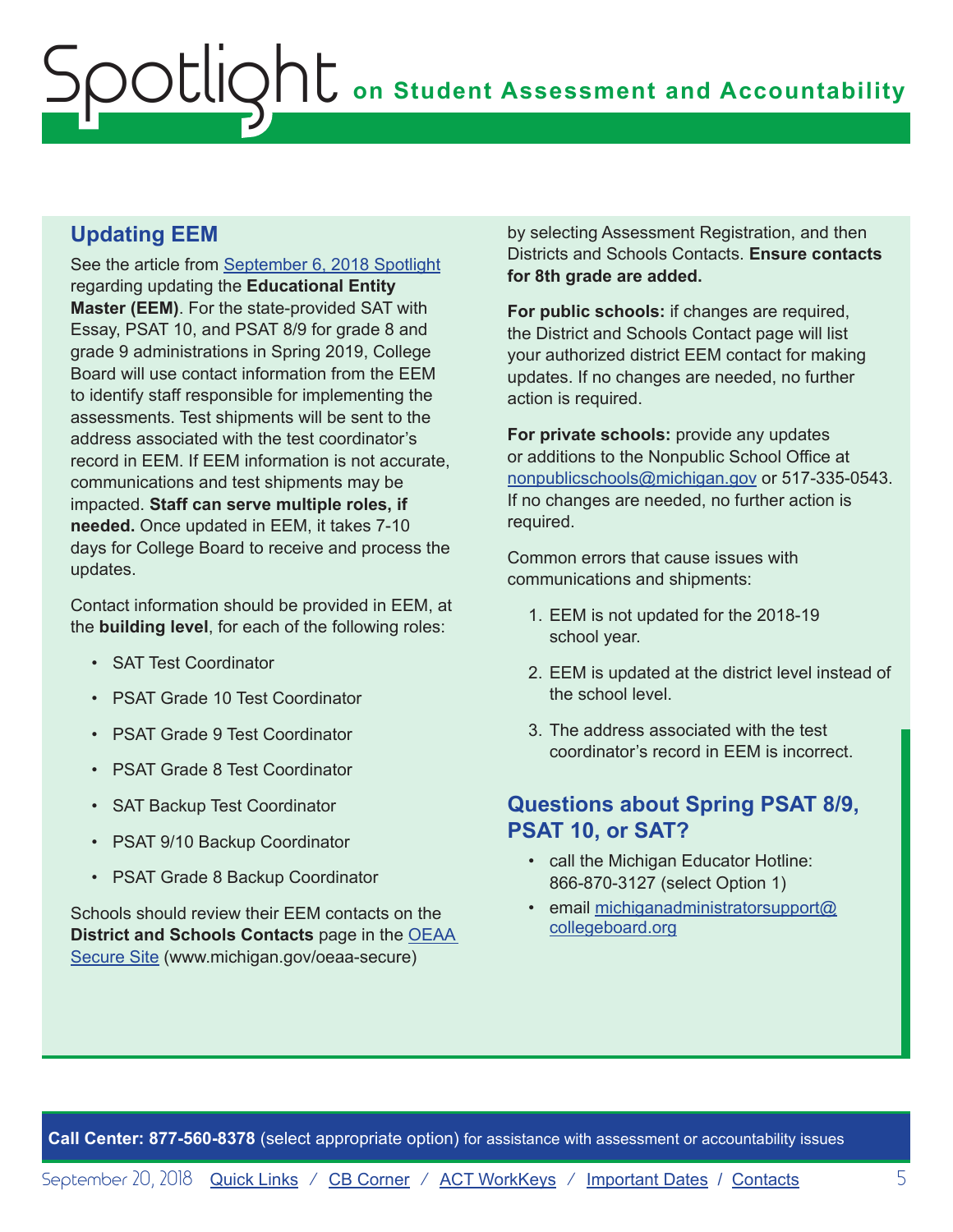# **Updating EEM**

See the article from [September 6, 2018 Spotlight](https://www.michigan.gov/documents/mde/Spotlight_9-6-18_631964_7.pdf) regarding updating the **Educational Entity Master (EEM)**. For the state-provided SAT with Essay, PSAT 10, and PSAT 8/9 for grade 8 and grade 9 administrations in Spring 2019, College Board will use contact information from the EEM to identify staff responsible for implementing the assessments. Test shipments will be sent to the address associated with the test coordinator's record in EEM. If EEM information is not accurate, communications and test shipments may be impacted. **Staff can serve multiple roles, if needed.** Once updated in EEM, it takes 7-10 days for College Board to receive and process the updates.

Contact information should be provided in EEM, at the **building level**, for each of the following roles:

- SAT Test Coordinator
- PSAT Grade 10 Test Coordinator
- PSAT Grade 9 Test Coordinator
- PSAT Grade 8 Test Coordinator
- SAT Backup Test Coordinator
- PSAT 9/10 Backup Coordinator
- PSAT Grade 8 Backup Coordinator

Schools should review their EEM contacts on the **District and Schools Contacts** page in the [OEAA](http://www.michigan.gov/oeaa-secure)  [Secure Site](http://www.michigan.gov/oeaa-secure) (www.michigan.gov/oeaa-secure)

by selecting Assessment Registration, and then Districts and Schools Contacts. **Ensure contacts for 8th grade are added.**

**For public schools:** if changes are required, the District and Schools Contact page will list your authorized district EEM contact for making updates. If no changes are needed, no further action is required.

**For private schools:** provide any updates or additions to the Nonpublic School Office at [nonpublicschools@michigan.gov](mailto:nonpublicschools%40michigan.gov?subject=) or 517-335-0543. If no changes are needed, no further action is required.

Common errors that cause issues with communications and shipments:

- 1. EEM is not updated for the 2018-19 school year.
- 2. EEM is updated at the district level instead of the school level.
- 3. The address associated with the test coordinator's record in EEM is incorrect.

## **Questions about Spring PSAT 8/9, PSAT 10, or SAT?**

- call the Michigan Educator Hotline: 866-870-3127 (select Option 1)
- email [michiganadministratorsupport@](mailto:michiganadministratorsupport%40collegeboard.org?subject=) [collegeboard.org](mailto:michiganadministratorsupport%40collegeboard.org?subject=)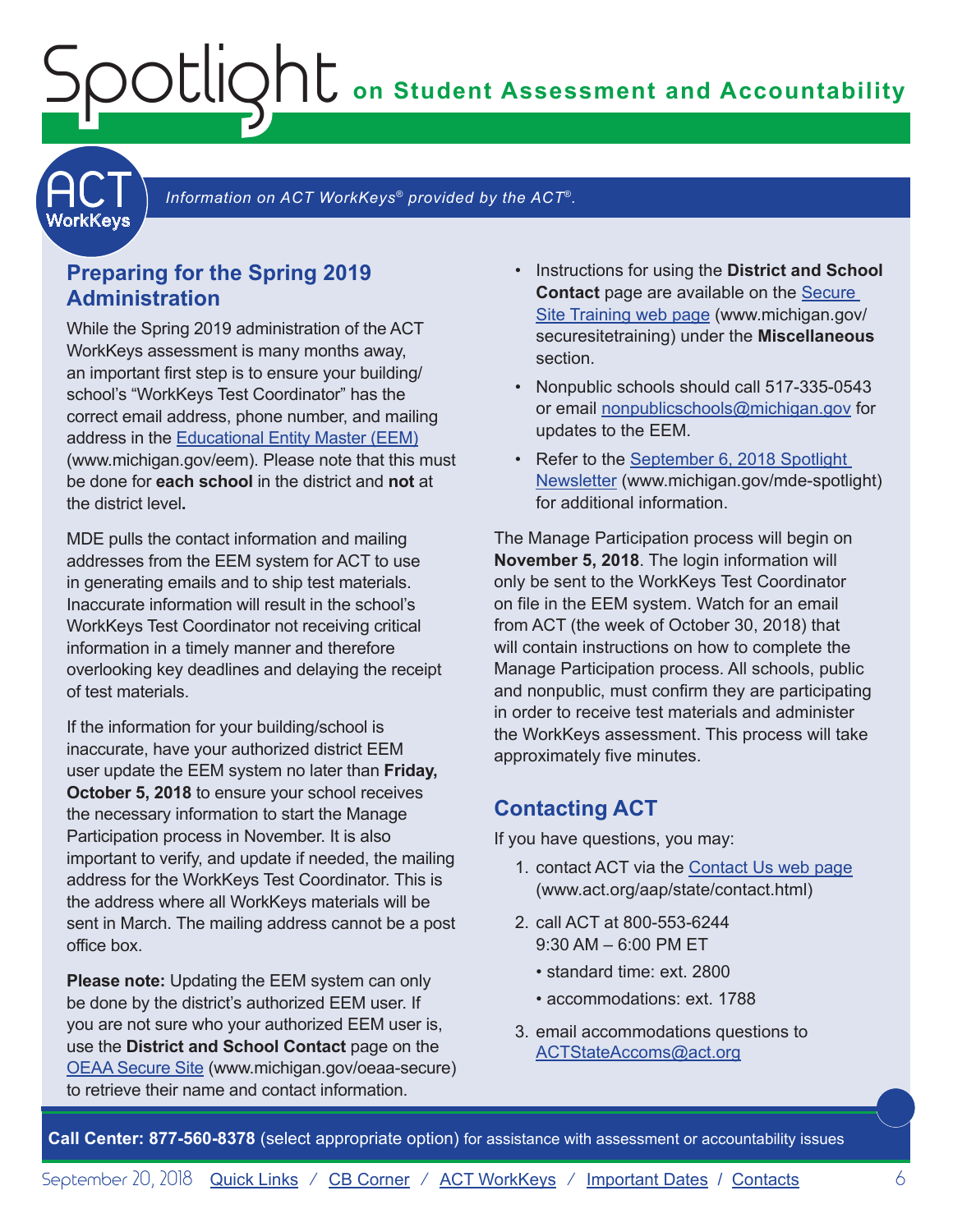**on Student Assessment and Accountability**

<span id="page-5-1"></span>**ACT** 

Information on ACT WorkKeys<sup>®</sup> provided by the ACT<sup>®</sup>.

## **Preparing for the Spring 2019 Administration**

<span id="page-5-0"></span>Spotlight

While the Spring 2019 administration of the ACT WorkKeys assessment is many months away, an important first step is to ensure your building/ school's "WorkKeys Test Coordinator" has the correct email address, phone number, and mailing address in the [Educational Entity Master \(EEM\)](www.michigan.gov/EEM) (www.michigan.gov/eem). Please note that this must be done for **each school** in the district and **not** at the district level**.**

MDE pulls the contact information and mailing addresses from the EEM system for ACT to use in generating emails and to ship test materials. Inaccurate information will result in the school's WorkKeys Test Coordinator not receiving critical information in a timely manner and therefore overlooking key deadlines and delaying the receipt of test materials.

If the information for your building/school is inaccurate, have your authorized district EEM user update the EEM system no later than **Friday, October 5, 2018** to ensure your school receives the necessary information to start the Manage Participation process in November. It is also important to verify, and update if needed, the mailing address for the WorkKeys Test Coordinator. This is the address where all WorkKeys materials will be sent in March. The mailing address cannot be a post office box.

**Please note:** Updating the EEM system can only be done by the district's authorized EEM user. If you are not sure who your authorized EEM user is, use the **District and School Contact** page on the [OEAA Secure Site](http://www.michigan.gov/oeaa-secure) (www.michigan.gov/oeaa-secure) to retrieve their name and contact information.

- Instructions for using the **District and School Contact** page are available on the [Secure](http://www.michigan.gov/securesitetraining)  [Site Training web page](http://www.michigan.gov/securesitetraining) (www.michigan.gov/ securesitetraining) under the **Miscellaneous**  section.
- Nonpublic schools should call 517-335-0543 or email [nonpublicschools@michigan.gov](mailto:nonpublicschools%40michigan.gov?subject=) for updates to the EEM.
- Refer to the September 6, 2018 Spotlight [Newsletter](https://www.michigan.gov/documents/mde/Spotlight_9-6-18_631964_7.pdf) (www.michigan.gov/mde-spotlight) for additional information.

The Manage Participation process will begin on **November 5, 2018**. The login information will only be sent to the WorkKeys Test Coordinator on file in the EEM system. Watch for an email from ACT (the week of October 30, 2018) that will contain instructions on how to complete the Manage Participation process. All schools, public and nonpublic, must confirm they are participating in order to receive test materials and administer the WorkKeys assessment. This process will take approximately five minutes.

#### **Contacting ACT**

If you have questions, you may:

- 1. contact ACT via the [Contact Us web page](http://www.act.org/aap/state/contact.html) [\(www.act.org/aap/state/contact.html\)](www.act.org/aap/state/contact.html)
- 2. call ACT at 800-553-6244 9:30 AM – 6:00 PM ET
	- standard time: ext. 2800
	- accommodations: ext. 1788
- 3. email accommodations questions to [ACTStateAccoms@act.org](mailto:ACTStateAccoms%40act.org?subject=)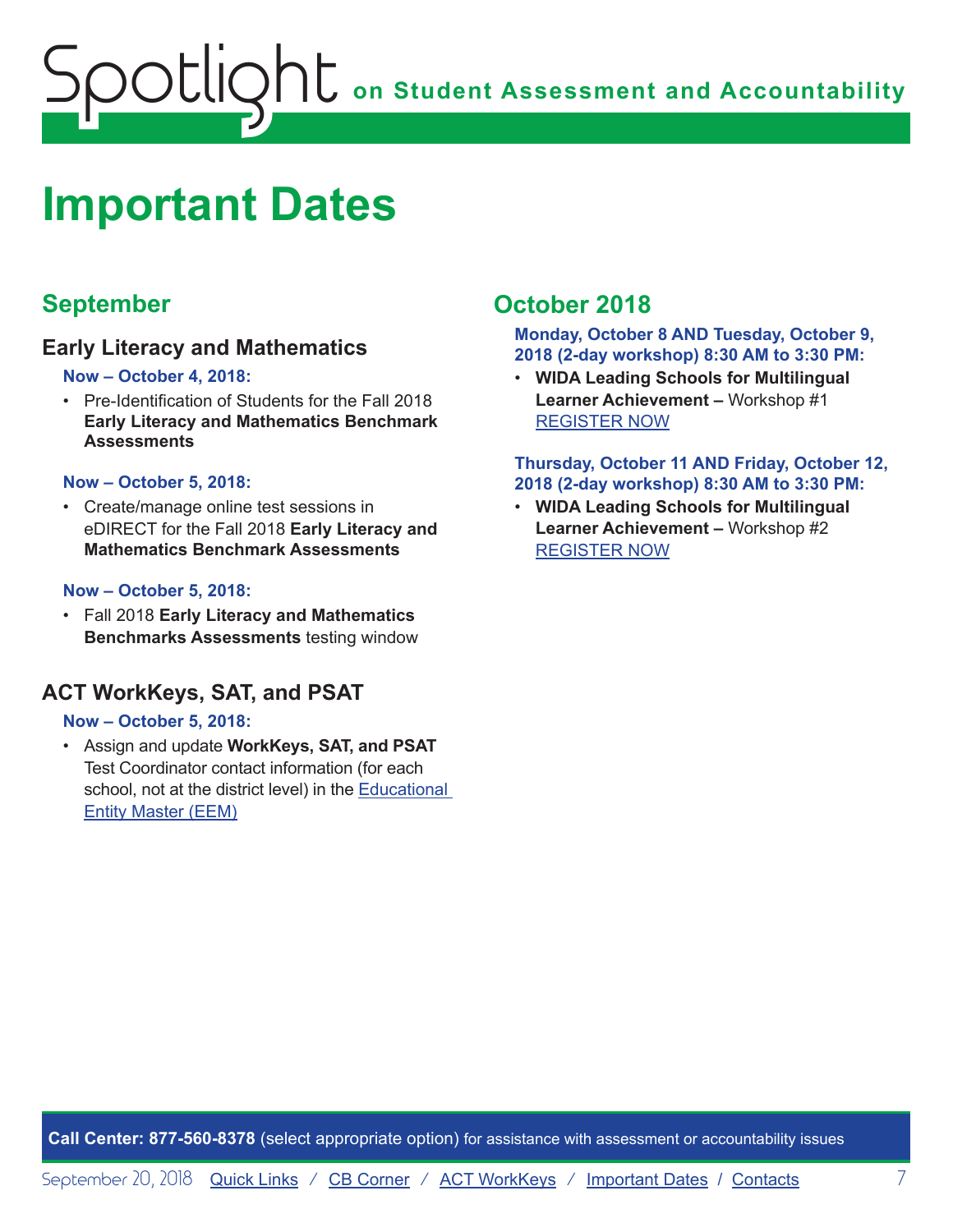<span id="page-6-0"></span>

# <span id="page-6-1"></span>**Important Dates**

# **September**

### **Early Literacy and Mathematics**

#### **Now – October 4, 2018:**

• Pre-Identification of Students for the Fall 2018 **Early Literacy and Mathematics Benchmark Assessments**

#### **Now – October 5, 2018:**

• Create/manage online test sessions in eDIRECT for the Fall 2018 **Early Literacy and Mathematics Benchmark Assessments**

#### **Now – October 5, 2018:**

• Fall 2018 **Early Literacy and Mathematics Benchmarks Assessments** testing window

## **ACT WorkKeys, SAT, and PSAT**

#### **Now – October 5, 2018:**

• Assign and update **WorkKeys, SAT, and PSAT** Test Coordinator contact information (for each school, not at the district level) in the [Educational](www.michigan.gov/EEM)  [Entity Master \(EEM\)](www.michigan.gov/EEM)

# **October 2018**

**Monday, October 8 AND Tuesday, October 9, 2018 (2-day workshop) 8:30 AM to 3:30 PM:**

• **WIDA Leading Schools for Multilingual Learner Achievement –** Workshop #1 [REGISTER NOW](https://www.eventbrite.com/e/leading-schools-for-multilingual-learner-achievement-registration-46676636075)

#### **Thursday, October 11 AND Friday, October 12, 2018 (2-day workshop) 8:30 AM to 3:30 PM:**

• **WIDA Leading Schools for Multilingual Learner Achievement –** Workshop #2 [REGISTER NOW](https://www.eventbrite.com/e/leading-schools-for-multilingual-learner-achievement-tickets-46676638081)